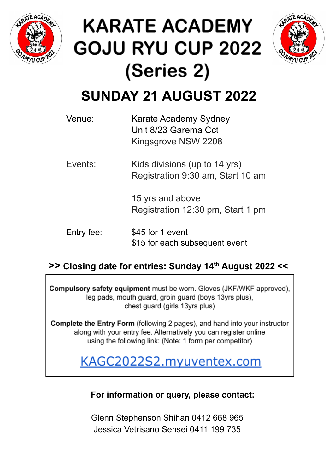

## **KARATE ACADEMY GOJU RYU CUP 2022** (Series 2)



### **SUNDAY 21 AUGUST 2022**

| Venue:     | Karate Academy Sydney<br>Unit 8/23 Garema Cct<br>Kingsgrove NSW 2208 |
|------------|----------------------------------------------------------------------|
| Events:    | Kids divisions (up to 14 yrs)<br>Registration 9:30 am, Start 10 am   |
|            | 15 yrs and above<br>Registration 12:30 pm, Start 1 pm                |
| Entry fee: | \$45 for 1 event<br>\$15 for each subsequent event                   |

#### **>> Closing date for entries: Sunday 14 th August 2022 <<**

Compulsory safety equipment must be worn. Gloves (JKF/WKF approved), leg pads, mouth guard, groin guard (boys 13yrs plus), chest quard (girls 13yrs plus)

Complete the Entry Form (following 2 pages), and hand into your instructor along with your entry fee. Alternatively you can register online using the following link: (Note: 1 form per competitor)

KAGC2022S2.myuventex.com

**For information or query, please contact:**

Glenn Stephenson Shihan 0412 668 965 Jessica Vetrisano Sensei 0411 199 735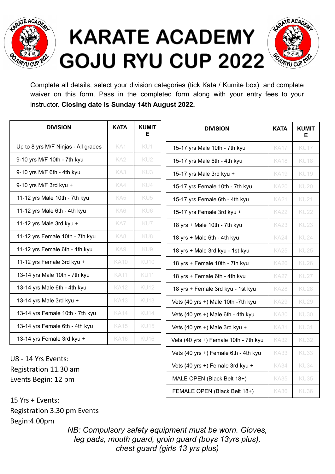

# **KARATE ACADEMY GOJU RYU CUP 2022**



Complete all details, select your division categories (tick Kata / Kumite box) and complete waiver on this form. Pass in the completed form along with your entry fees to your instructor. **Closing date is Sunday 14th August 2022.**

| <b>DIVISION</b>                     | <b>KATA</b>     | <b>KUMIT</b><br>Е |
|-------------------------------------|-----------------|-------------------|
| Up to 8 yrs M/F Ninjas - All grades | KA1             | KU1               |
| 9-10 yrs M/F 10th - 7th kyu         | KA <sub>2</sub> | KU2               |
| 9-10 yrs M/F 6th - 4th kyu          | KA3             | KU3               |
| 9-10 yrs M/F 3rd kyu +              | KA4             | KU4               |
| 11-12 yrs Male 10th - 7th kyu       | KA5             | KU <sub>5</sub>   |
| 11-12 yrs Male 6th - 4th kyu        | KA6             | KU6               |
| 11-12 yrs Male 3rd kyu +            | KA7             | KU7               |
| 11-12 yrs Female 10th - 7th kyu     | KA8             | KU8               |
| 11-12 yrs Female 6th - 4th kyu      | KA9             | KU9               |
| 11-12 yrs Female 3rd kyu +          | <b>KA10</b>     | <b>KU10</b>       |
| 13-14 yrs Male 10th - 7th kyu       | <b>KA11</b>     | <b>KU11</b>       |
| 13-14 yrs Male 6th - 4th kyu        | <b>KA12</b>     | <b>KU12</b>       |
| 13-14 yrs Male 3rd kyu +            | <b>KA13</b>     | <b>KU13</b>       |
| 13-14 yrs Female 10th - 7th kyu     | <b>KA14</b>     | <b>KU14</b>       |
| 13-14 yrs Female 6th - 4th kyu      | <b>KA15</b>     | <b>KU15</b>       |
| 13-14 yrs Female 3rd kyu +          | <b>KA16</b>     | KU <sub>16</sub>  |

| <b>DIVISION</b>                       | <b>KATA</b> | <b>KUMIT</b><br>Е |
|---------------------------------------|-------------|-------------------|
| 15-17 yrs Male 10th - 7th kyu         | <b>KA17</b> | <b>KU17</b>       |
| 15-17 yrs Male 6th - 4th kyu          | <b>KA18</b> | <b>KU18</b>       |
| 15-17 yrs Male 3rd kyu +              | <b>KA19</b> | <b>KU19</b>       |
| 15-17 yrs Female 10th - 7th kyu       | <b>KA20</b> | <b>KU20</b>       |
| 15-17 yrs Female 6th - 4th kyu        | <b>KA21</b> | <b>KU21</b>       |
| 15-17 yrs Female 3rd kyu +            | <b>KA22</b> | <b>KU22</b>       |
| 18 yrs + Male 10th - 7th kyu          | <b>KA23</b> | <b>KU23</b>       |
| 18 yrs + Male 6th - 4th kyu           | <b>KA24</b> | <b>KU24</b>       |
| 18 yrs + Male 3rd kyu - 1st kyu       | <b>KA25</b> | <b>KU25</b>       |
| 18 yrs + Female 10th - 7th kyu        | <b>KA26</b> | <b>KU26</b>       |
| 18 yrs + Female 6th - 4th kyu         | <b>KA27</b> | <b>KU27</b>       |
| 18 yrs + Female 3rd kyu - 1st kyu     | <b>KA28</b> | <b>KU28</b>       |
| Vets (40 yrs +) Male 10th -7th kyu    | <b>KA29</b> | <b>KU29</b>       |
| Vets (40 yrs +) Male 6th - 4th kyu    | <b>KA30</b> | <b>KU30</b>       |
| Vets (40 yrs +) Male 3rd kyu +        | <b>KA31</b> | KU31              |
| Vets (40 yrs +) Female 10th - 7th kyu | <b>KA32</b> | <b>KU32</b>       |
| Vets (40 yrs +) Female 6th - 4th kyu  | <b>KA33</b> | KU33              |
| Vets (40 yrs +) Female 3rd kyu +      | <b>KA34</b> | KU34              |
| MALE OPEN (Black Belt 18+)            | <b>KA35</b> | <b>KU35</b>       |
| FEMALE OPEN (Black Belt 18+)          | <b>KA36</b> | <b>KU36</b>       |

U8 - 14 Yrs Events: Registration 11.30 am Events Begin: 12 pm

15 Yrs + Events: Registration 3.30 pm Events Begin:4.00pm

> *NB: Compulsory safety equipment must be worn. Gloves, leg pads, mouth guard, groin guard (boys 13yrs plus), chest guard (girls 13 yrs plus)*